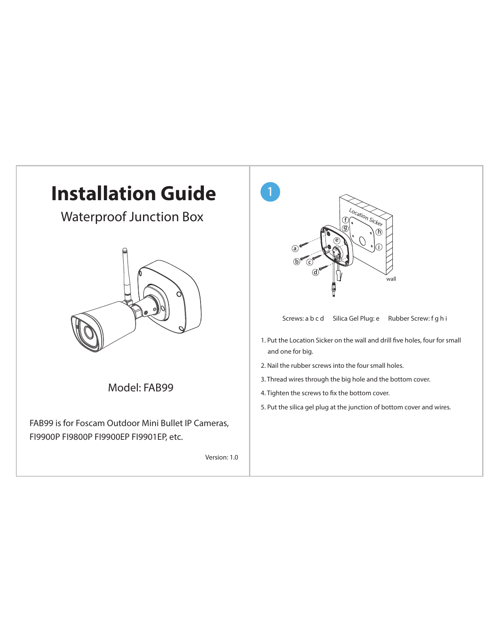